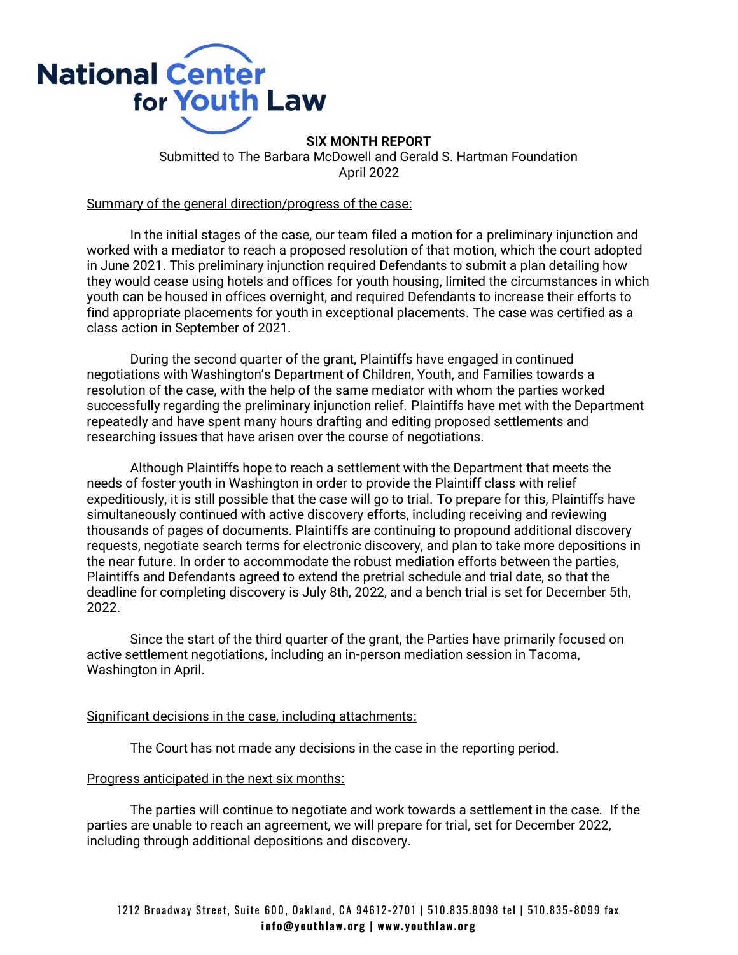

**SIX MONTH REPORT**  Submitted to The Barbara McDowell and Gerald S. Hartman Foundation April 2022

## Summary of the general direction/progress of the case:

In the initial stages of the case, our team filed a motion for a preliminary injunction and worked with a mediator to reach a proposed resolution of that motion, which the court adopted in June 2021. This preliminary injunction required Defendants to submit a plan detailing how they would cease using hotels and offices for youth housing, limited the circumstances in which youth can be housed in offices overnight, and required Defendants to increase their efforts to find appropriate placements for youth in exceptional placements. The case was certified as a class action in September of 2021.

During the second quarter of the grant, Plaintiffs have engaged in continued negotiations with Washington's Department of Children, Youth, and Families towards a resolution of the case, with the help of the same mediator with whom the parties worked successfully regarding the preliminary injunction relief. Plaintiffs have met with the Department repeatedly and have spent many hours drafting and editing proposed settlements and researching issues that have arisen over the course of negotiations.

Although Plaintiffs hope to reach a settlement with the Department that meets the needs of foster youth in Washington in order to provide the Plaintiff class with relief expeditiously, it is still possible that the case will go to trial. To prepare for this, Plaintiffs have simultaneously continued with active discovery efforts, including receiving and reviewing thousands of pages of documents. Plaintiffs are continuing to propound additional discovery requests, negotiate search terms for electronic discovery, and plan to take more depositions in the near future. In order to accommodate the robust mediation efforts between the parties, Plaintiffs and Defendants agreed to extend the pretrial schedule and trial date, so that the deadline for completing discovery is July 8th, 2022, and a bench trial is set for December 5th, 2022.

Since the start of the third quarter of the grant, the Parties have primarily focused on active settlement negotiations, including an in-person mediation session in Tacoma, Washington in April.

## Significant decisions in the case, including attachments:

The Court has not made any decisions in the case in the reporting period.

## Progress anticipated in the next six months:

The parties will continue to negotiate and work towards a settlement in the case. If the parties are unable to reach an agreement, we will prepare for trial, set for December 2022, including through additional depositions and discovery.